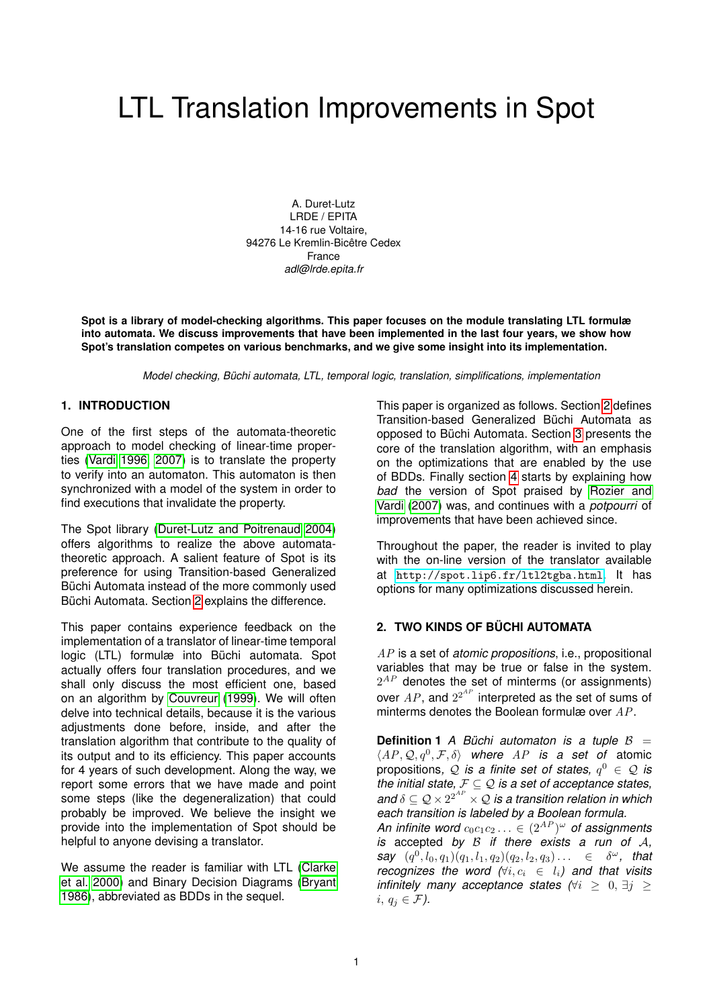# LTL Translation Improvements in Spot

A. Duret-Lutz LRDE / EPITA 14-16 rue Voltaire, 94276 Le Kremlin-Bicêtre Cedex France *adl@lrde.epita.fr*

**Spot is a library of model-checking algorithms. This paper focuses on the module translating LTL formulæ into automata. We discuss improvements that have been implemented in the last four years, we show how Spot's translation competes on various benchmarks, and we give some insight into its implementation.**

*Model checking, Büchi automata, LTL, temporal logic, translation, simplifications, implementation*

## **1. INTRODUCTION**

One of the first steps of the automata-theoretic approach to model checking of linear-time properties [\(Vardi 1996,](#page-11-0) [2007\)](#page-11-1) is to translate the property to verify into an automaton. This automaton is then synchronized with a model of the system in order to find executions that invalidate the property.

The Spot library [\(Duret-Lutz and Poitrenaud 2004\)](#page-11-2) offers algorithms to realize the above automatatheoretic approach. A salient feature of Spot is its preference for using Transition-based Generalized Büchi Automata instead of the more commonly used Büchi Automata. Section [2](#page-0-0) explains the difference.

This paper contains experience feedback on the implementation of a translator of linear-time temporal logic (LTL) formulæ into Büchi automata. Spot actually offers four translation procedures, and we shall only discuss the most efficient one, based on an algorithm by [Couvreur](#page-11-3) [\(1999\)](#page-11-3). We will often delve into technical details, because it is the various adjustments done before, inside, and after the translation algorithm that contribute to the quality of its output and to its efficiency. This paper accounts for 4 years of such development. Along the way, we report some errors that we have made and point some steps (like the degeneralization) that could probably be improved. We believe the insight we provide into the implementation of Spot should be helpful to anyone devising a translator.

We assume the reader is familiar with LTL [\(Clarke](#page-11-4) [et al. 2000\)](#page-11-4) and Binary Decision Diagrams [\(Bryant](#page-11-5) [1986\)](#page-11-5), abbreviated as BDDs in the sequel.

This paper is organized as follows. Section [2](#page-0-0) defines Transition-based Generalized Büchi Automata as opposed to Büchi Automata. Section [3](#page-1-0) presents the core of the translation algorithm, with an emphasis on the optimizations that are enabled by the use of BDDs. Finally section [4](#page-3-0) starts by explaining how *bad* the version of Spot praised by [Rozier and](#page-11-6) [Vardi](#page-11-6) [\(2007\)](#page-11-6) was, and continues with a *potpourri* of improvements that have been achieved since.

Throughout the paper, the reader is invited to play with the on-line version of the translator available at <http://spot.lip6.fr/ltl2tgba.html>. It has options for many optimizations discussed herein.

## <span id="page-0-0"></span>**2. TWO KINDS OF BÜCHI AUTOMATA**

AP is a set of *atomic propositions*, i.e., propositional variables that may be true or false in the system.  $2^{AP}$  denotes the set of minterms (or assignments) over  $AP$ , and  $2^{2^{AP}}$  interpreted as the set of sums of minterms denotes the Boolean formulæ over  $AP$ .

**Definition 1** *A Büchi automaton is a tuple*  $B =$  $\langle AP, Q, q^0, F, \delta \rangle$  where AP is a set of atomic propositions,  $\mathcal Q$  *is a finite set of states,*  $q^0 \in \mathcal Q$  *is the initial state,* F ⊆ Q *is a set of acceptance states,* and  $\delta \subseteq \mathcal{Q} \times 2^{2^{AP}} \times \mathcal{Q}$  is a transition relation in which *each transition is labeled by a Boolean formula.* An infinite word  $c_0c_1c_2\ldots\in (2^{AP})^\omega$  of assignments *is* accepted *by* B *if there exists a run of* A*,*  $\textit{say} \ \ (q^0, l_0, q_1) (q_1, l_1, q_2) (q_2, l_2, q_3) \ldots \ \ \in \ \ \delta^{\omega}, \ \ \textit{that}$ *recognizes the word*  $(∀i, c_i ∈ l_i)$  and that visits *infinitely many acceptance states*  $\forall i > 0, \exists j > 1$ i,  $q_i \in \mathcal{F}$ ).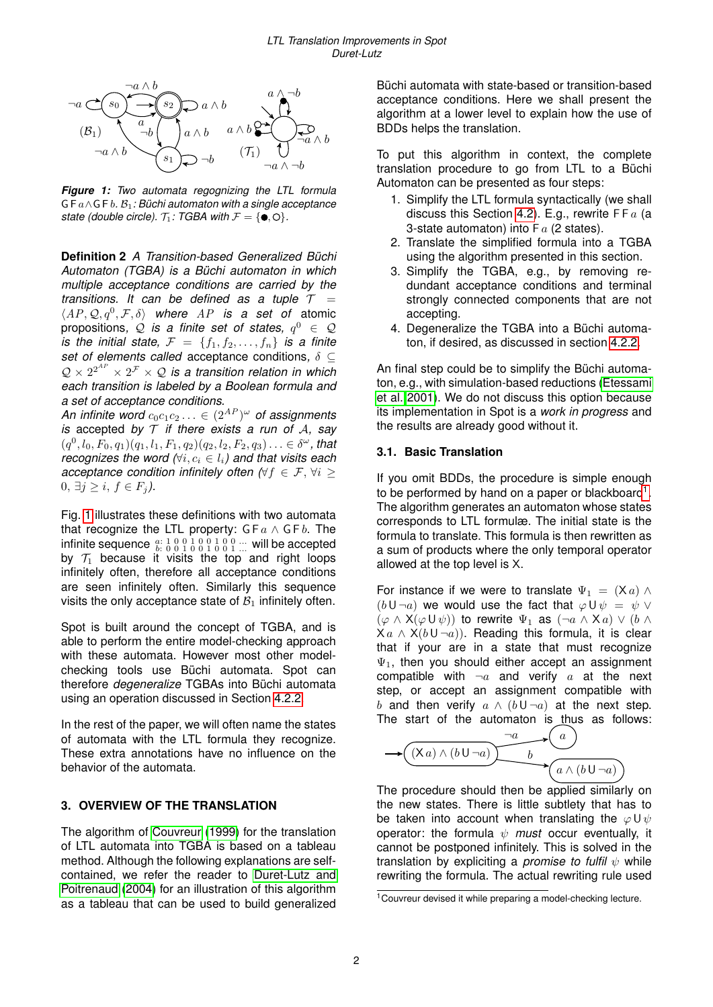<span id="page-1-1"></span>

*Figure 1: Two automata regognizing the LTL formula* G F a∧G F b*.* B1*: Büchi automaton with a single acceptance state (double circle).*  $\mathcal{T}_1$ *: TGBA with*  $\mathcal{F} = \{\bullet, \circlearrowleft\}$ *.* 

**Definition 2** *A Transition-based Generalized Büchi Automaton (TGBA) is a Büchi automaton in which multiple acceptance conditions are carried by the transitions. It can be defined as a tuple*  $T =$  $\langle AP, Q, q^0, F, \delta \rangle$  where AP is a set of atomic propositions,  $\mathcal Q$  *is a finite set of states,*  $q^0$  $\in$  $\mathcal Q$ *is the initial state,*  $F = \{f_1, f_2, \ldots, f_n\}$  *is a finite set of elements called* acceptance conditions*,* δ ⊆  $\mathcal{Q} \times 2^{2^{AP}} \times 2^{\mathcal{F}} \times \mathcal{Q}$  is a transition relation in which *each transition is labeled by a Boolean formula and a set of acceptance conditions.*

An infinite word  $c_0c_1c_2\ldots\in (2^{AP})^\omega$  of assignments *is* accepted *by* T *if there exists a run of* A*, say*  $(q^0, l_0, F_0, q_1) (q_1, l_1, F_1, q_2) (q_2, l_2, F_2, q_3) \ldots \in \delta^{\omega}$ , that *recognizes the word*  $(∀i, c_i ∈ l_i)$  and that visits each *acceptance condition infinitely often*  $(\forall f \in \mathcal{F}, \forall i >$ 0,  $\exists j \ge i, f \in F_j$ *)*.

Fig. [1](#page-1-1) illustrates these definitions with two automata that recognize the LTL property:  $G Fa \wedge G F b$ . The infinite sequence  $\frac{a:1\ 0\ 0\ 1\ 0\ 0\ 1\ 0\ 0\ 1}{b:0\ 0\ 1\ 0\ 0\ 1\ 0\ 0\ 1}$  ... will be accepted by  $\mathcal{T}_1$  because it visits the top and right loops infinitely often, therefore all acceptance conditions are seen infinitely often. Similarly this sequence visits the only acceptance state of  $B_1$  infinitely often.

Spot is built around the concept of TGBA, and is able to perform the entire model-checking approach with these automata. However most other modelchecking tools use Büchi automata. Spot can therefore *degeneralize* TGBAs into Büchi automata using an operation discussed in Section [4.2.2.](#page-6-0)

In the rest of the paper, we will often name the states of automata with the LTL formula they recognize. These extra annotations have no influence on the behavior of the automata.

## <span id="page-1-0"></span>**3. OVERVIEW OF THE TRANSLATION**

The algorithm of [Couvreur](#page-11-3) [\(1999\)](#page-11-3) for the translation of LTL automata into TGBA is based on a tableau method. Although the following explanations are selfcontained, we refer the reader to [Duret-Lutz and](#page-11-2) [Poitrenaud](#page-11-2) [\(2004\)](#page-11-2) for an illustration of this algorithm as a tableau that can be used to build generalized Büchi automata with state-based or transition-based acceptance conditions. Here we shall present the algorithm at a lower level to explain how the use of BDDs helps the translation.

To put this algorithm in context, the complete translation procedure to go from LTL to a Büchi Automaton can be presented as four steps:

- 1. Simplify the LTL formula syntactically (we shall discuss this Section [4.2\)](#page-4-0). E.g., rewrite  $FFa$  (a 3-state automaton) into  $Fa(2 states)$ .
- 2. Translate the simplified formula into a TGBA using the algorithm presented in this section.
- 3. Simplify the TGBA, e.g., by removing redundant acceptance conditions and terminal strongly connected components that are not accepting.
- 4. Degeneralize the TGBA into a Büchi automaton, if desired, as discussed in section [4.2.2.](#page-6-0)

An final step could be to simplify the Büchi automaton, e.g., with simulation-based reductions [\(Etessami](#page-11-7) [et al. 2001\)](#page-11-7). We do not discuss this option because its implementation in Spot is a *work in progress* and the results are already good without it.

# **3.1. Basic Translation**

If you omit BDDs, the procedure is simple enough to be performed by hand on a paper or blackboard<sup>[1](#page-1-2)</sup>. The algorithm generates an automaton whose states corresponds to LTL formulæ. The initial state is the formula to translate. This formula is then rewritten as a sum of products where the only temporal operator allowed at the top level is X.

For instance if we were to translate  $\Psi_1 = (X \alpha) \wedge \beta$  $(b\cup \neg a)$  we would use the fact that  $\varphi\cup\psi = \psi\vee\psi$  $(\varphi \wedge X(\varphi \cup \psi))$  to rewrite  $\Psi_1$  as  $(\neg a \wedge Xa) \vee (b \wedge \psi)$  $X a \wedge X(b \cup \neg a)$ . Reading this formula, it is clear that if your are in a state that must recognize  $\Psi_1$ , then you should either accept an assignment compatible with  $\neg a$  and verify a at the next step, or accept an assignment compatible with b and then verify  $a \wedge (b \cup \neg a)$  at the next step. The start of the automaton is thus as follows:

$$
\rightarrow \underbrace{(\mathsf{X}a)\land(b\mathsf{U}\neg a)}_{\mathsf{U}\qquad \mathsf{b}}\rightarrow \underbrace{a\land(b\mathsf{U}\neg a)}_{\mathsf{U}\quad a\land(b\mathsf{U}\neg a)}
$$

The procedure should then be applied similarly on the new states. There is little subtlety that has to be taken into account when translating the  $\varphi \cup \psi$ operator: the formula  $\psi$  *must* occur eventually, it cannot be postponed infinitely. This is solved in the translation by expliciting a *promise to fulfil*  $ψ$  while rewriting the formula. The actual rewriting rule used

 $\overline{a}$ 

<span id="page-1-2"></span><sup>&</sup>lt;sup>1</sup>Couvreur devised it while preparing a model-checking lecture.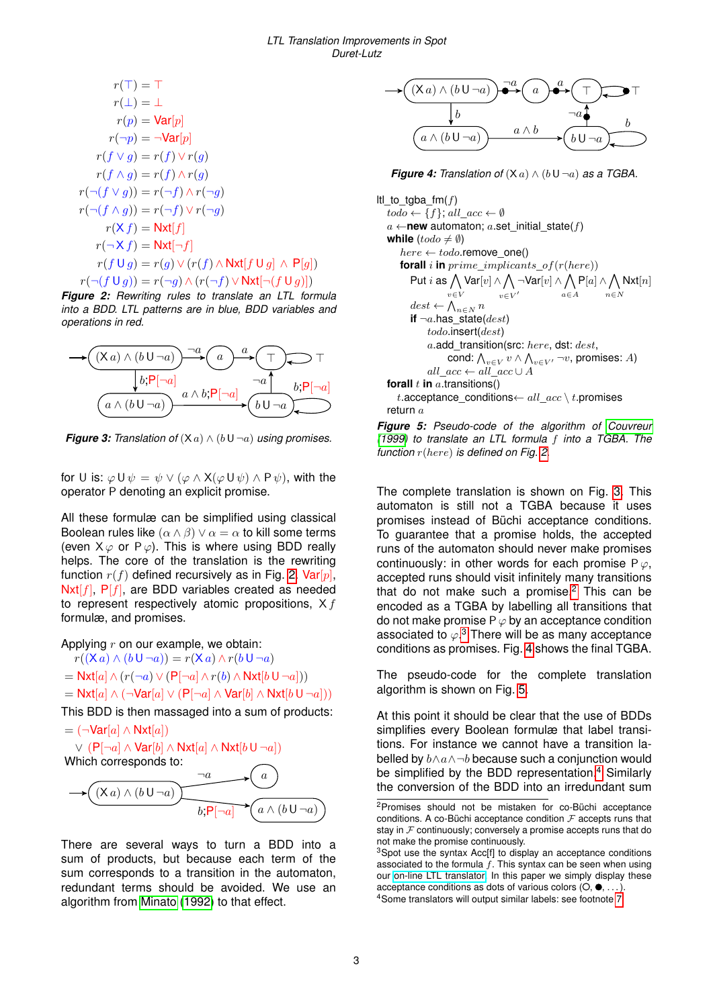<span id="page-2-0"></span>
$$
r(\top) = \top
$$
  
\n
$$
r(\bot) = \bot
$$
  
\n
$$
r(p) = \text{Var}[p]
$$
  
\n
$$
r(\neg p) = \neg \text{Var}[p]
$$
  
\n
$$
r(f \lor g) = r(f) \lor r(g)
$$
  
\n
$$
r(f \land g) = r(f) \land r(g)
$$
  
\n
$$
r(\neg(f \lor g)) = r(\neg f) \land r(\neg g)
$$
  
\n
$$
r(\neg(f \land g)) = r(\neg f) \lor r(\neg g)
$$
  
\n
$$
r(\land f) = \text{Next}[f]
$$
  
\n
$$
r(\neg \land f) = \text{Next}[\neg f]
$$
  
\n
$$
r(f \cup g) = r(g) \lor (r(f) \land \text{Next}[f \cup g] \land \text{P}[g])
$$

 $r(\neg(f \cup g)) = r(\neg g) \wedge (r(\neg f) \vee \text{Nxt}[\neg(f \cup g)])$ *Figure 2: Rewriting rules to translate an LTL formula into a BDD. LTL patterns are in blue, BDD variables and operations in red.*

<span id="page-2-1"></span>

*Figure 3: Translation of*  $(X \cap \Lambda) \wedge (b \cup \neg \emptyset)$  *using promises.* 

for U is:  $\varphi \cup \psi = \psi \vee (\varphi \wedge X(\varphi \cup \psi) \wedge P \psi)$ , with the operator P denoting an explicit promise.

All these formulæ can be simplified using classical Boolean rules like  $(\alpha \wedge \beta) \vee \alpha = \alpha$  to kill some terms (even  $X \varphi$  or  $P \varphi$ ). This is where using BDD really helps. The core of the translation is the rewriting function  $r(f)$  defined recursively as in Fig. [2.](#page-2-0) Var[p],  $Nxt[f], P[f]$ , are BDD variables created as needed to represent respectively atomic propositions,  $X f$ formulæ, and promises.

Applying  $r$  on our example, we obtain:

- $r((\mathsf{X} a) \wedge (b \mathsf{U} \neg a)) = r(\mathsf{X} a) \wedge r(b \mathsf{U} \neg a)$  $=$  Nxt[a]  $\wedge$   $(r(\neg a) \vee (P[\neg a] \wedge r(b) \wedge Nxt[b \cup \neg a]))$
- $=$  Nxt[a]  $\wedge$  (¬Var[a]  $\vee$  (P[¬a]  $\wedge$  Var[b]  $\wedge$  Nxt[b U ¬a]))

This BDD is then massaged into a sum of products:



There are several ways to turn a BDD into a sum of products, but because each term of the sum corresponds to a transition in the automaton. redundant terms should be avoided. We use an algorithm from [Minato](#page-11-8) [\(1992\)](#page-11-8) to that effect.

<span id="page-2-4"></span>

*Figure 4: Translation of*  $(X \cap a) \wedge (b \cup \neg a)$  *as a TGBA.* 

<span id="page-2-5"></span>Itl to tgba  $f(m(f))$  $todo \leftarrow \{f\}, \, all\_acc \leftarrow \emptyset$  $a \leftarrow$ **new** automaton; a.set initial state(f) **while**  $(todo \neq \emptyset)$  $here \leftarrow todo$ .remove\_one() **forall** i **in** prime\_implicants\_of(r(here)) Put i as  $\bigwedge \text{Var}[v] \wedge \bigwedge \neg \text{Var}[v] \wedge \bigwedge \text{P}[a] \wedge \bigwedge \text{Nxt}[n]$ v∈V  $v\in V'$ a∈A  $n \in \mathbb{N}$  $dest \leftarrow \bigwedge_{n \in N} n$ **if**  $\neg a$ .has state(*dest*) todo.insert(dest) a.add\_transition(src: here, dst: dest, cond:  $\bigwedge_{v\in V} v\wedge \bigwedge_{v\in V'}\neg v$ , promises:  $A)$ all\_acc ← all\_acc ∪ A **forall**  $t$  **in**  $a$ .transitions() t.acceptance\_conditions $\leftarrow all\_acc \setminus t$ .promises return  $a$ 

*Figure 5: Pseudo-code of the algorithm of [Couvreur](#page-11-3) [\(1999\)](#page-11-3) to translate an LTL formula* f *into a TGBA. The function* r(here) *is defined on Fig. [2.](#page-2-0)*

The complete translation is shown on Fig. [3.](#page-2-1) This automaton is still not a TGBA because it uses promises instead of Büchi acceptance conditions. To guarantee that a promise holds, the accepted runs of the automaton should never make promises continuously: in other words for each promise  $P\varphi$ , accepted runs should visit infinitely many transitions that do not make such a promise. $2$  This can be encoded as a TGBA by labelling all transitions that do not make promise  $P \varphi$  by an acceptance condition associated to  $\varphi$ .<sup>[3](#page-2-3)</sup> There will be as many acceptance conditions as promises. Fig. [4](#page-2-4) shows the final TGBA.

The pseudo-code for the complete translation algorithm is shown on Fig. [5.](#page-2-5)

At this point it should be clear that the use of BDDs simplifies every Boolean formulæ that label transitions. For instance we cannot have a transition labelled by  $b \wedge a \wedge \neg b$  because such a conjunction would be simplified by the BDD representation.<sup>[4](#page-2-6)</sup> Similarly the conversion of the BDD into an irredundant sum

<span id="page-2-2"></span><sup>2</sup>Promises should not be mistaken for co-Büchi acceptance conditions. A co-Büchi acceptance condition  $F$  accepts runs that stay in  $F$  continuously; conversely a promise accepts runs that do not make the promise continuously.

<span id="page-2-6"></span><span id="page-2-3"></span><sup>&</sup>lt;sup>3</sup>Spot use the syntax Acc<sup>[f]</sup> to display an acceptance conditions associated to the formula  $f$ . This syntax can be seen when using our [on-line LTL translator.](http://spot.lip6.fr/ltl2tgba.html) In this paper we simply display these acceptance conditions as dots of various colors  $( \bigcirc$ ,  $\bullet$ ,  $\dots$ ). <sup>4</sup>Some translators will output similar labels: see footnote [7.](#page-4-1)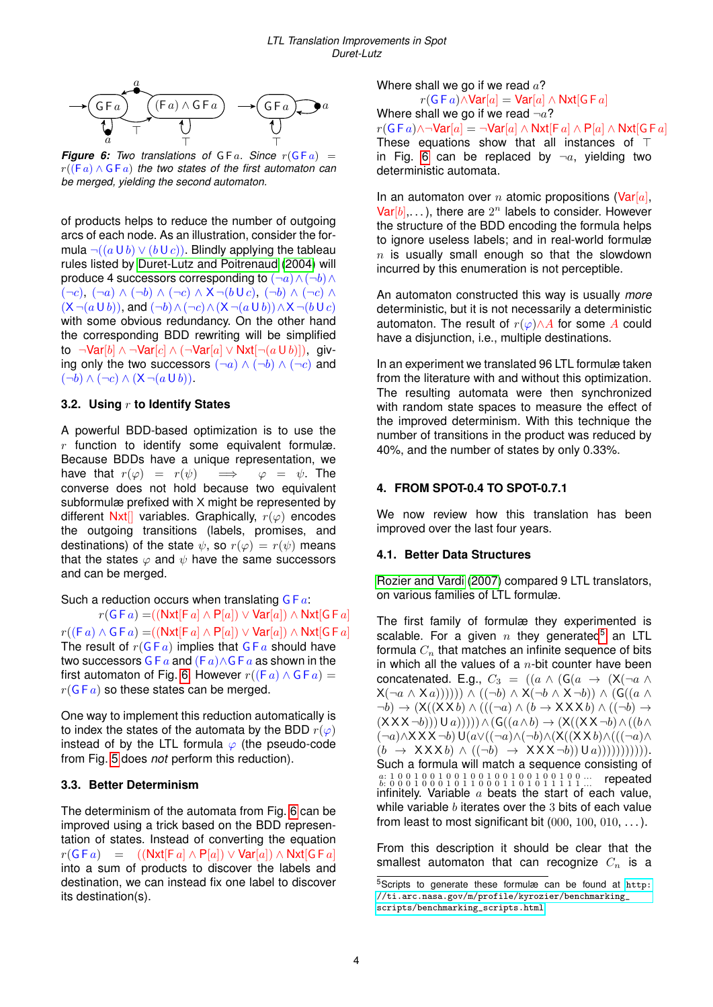<span id="page-3-1"></span>

**Figure 6:** Two translations of  $G F a$ . Since  $r(G F a)$  = r((F a) ∧ G F a) *the two states of the first automaton can be merged, yielding the second automaton.*

of products helps to reduce the number of outgoing arcs of each node. As an illustration, consider the formula  $\neg((a \cup b) \lor (b \cup c))$ . Blindly applying the tableau rules listed by [Duret-Lutz and Poitrenaud](#page-11-2) [\(2004\)](#page-11-2) will produce 4 successors corresponding to  $(\neg a) \land (\neg b) \land$  $(\neg c)$ ,  $(\neg a) \land (\neg b) \land (\neg c) \land X \neg (b \cup c)$ ,  $(\neg b) \land (\neg c) \land$  $(X \neg (a \cup b))$ , and  $(\neg b) \land (\neg c) \land (X \neg (a \cup b)) \land X \neg (b \cup c)$ with some obvious redundancy. On the other hand the corresponding BDD rewriting will be simplified to ¬Var[b] ∧ ¬Var[c] ∧ (¬Var[a] ∨ Nxt[¬ $(a \cup b)$ ]), giving only the two successors  $(\neg a) \land (\neg b) \land (\neg c)$  and  $(\neg b) \wedge (\neg c) \wedge (\mathsf{X} \neg (a \cup b)).$ 

## <span id="page-3-3"></span>**3.2. Using** r **to Identify States**

A powerful BDD-based optimization is to use the  $r$  function to identify some equivalent formulæ. Because BDDs have a unique representation, we have that  $r(\varphi) = r(\psi) \implies \varphi = \psi$ . The converse does not hold because two equivalent subformulæ prefixed with X might be represented by different Nxt[] variables. Graphically,  $r(\varphi)$  encodes the outgoing transitions (labels, promises, and destinations) of the state  $\psi$ , so  $r(\varphi) = r(\psi)$  means that the states  $\varphi$  and  $\psi$  have the same successors and can be merged.

Such a reduction occurs when translating  $G Fa$ :  $r(G F a) = ((\textsf{Nxt}[F a] \wedge P[a]) \vee \textsf{Var}[a]) \wedge \textsf{Nxt}[G F a]$  $r((Fa) \wedge GFa) = ((Nxt[Fa] \wedge P[a]) \vee Var[a]) \wedge Nxt[GFa]$ The result of  $r(GFa)$  implies that  $GFa$  should have two successors G F  $a$  and (F  $a$ ) ∧ G F  $a$  as shown in the first automaton of Fig. [6.](#page-3-1) However  $r((Fa) \wedge GFa)$  =  $r(GF a)$  so these states can be merged.

One way to implement this reduction automatically is to index the states of the automata by the BDD  $r(\varphi)$ instead of by the LTL formula  $\varphi$  (the pseudo-code from Fig. [5](#page-2-5) does *not* perform this reduction).

## **3.3. Better Determinism**

The determinism of the automata from Fig. [6](#page-3-1) can be improved using a trick based on the BDD representation of states. Instead of converting the equation  $r(G F a) = ((\text{Nxt}[F a] \wedge P[a]) \vee \text{Var}[a]) \wedge \text{Nxt}[G F a]$ into a sum of products to discover the labels and destination, we can instead fix one label to discover its destination(s).

Where shall we go if we read  $a$ ?  $r(G Fa) \wedge Var[a] = Var[a] \wedge Nxt[G Fa]$ Where shall we go if we read  $\neg a$ ?  $r(GFa)\wedge\neg \text{Var}[a] = \neg \text{Var}[a] \wedge \text{Nxt}[Fa] \wedge \text{P}[a] \wedge \text{Nxt}[GFa]$ These equations show that all instances of  $\top$ in Fig. [6](#page-3-1) can be replaced by  $\neg a$ , yielding two deterministic automata.

In an automaton over *n* atomic propositions (Var[a],  $Var[b], \ldots$ , there are  $2^n$  labels to consider. However the structure of the BDD encoding the formula helps to ignore useless labels; and in real-world formulæ  $n$  is usually small enough so that the slowdown incurred by this enumeration is not perceptible.

An automaton constructed this way is usually *more* deterministic, but it is not necessarily a deterministic automaton. The result of  $r(\varphi) \wedge A$  for some A could have a disjunction, i.e., multiple destinations.

In an experiment we translated 96 LTL formulæ taken from the literature with and without this optimization. The resulting automata were then synchronized with random state spaces to measure the effect of the improved determinism. With this technique the number of transitions in the product was reduced by 40%, and the number of states by only 0.33%.

## <span id="page-3-0"></span>**4. FROM SPOT-0.4 TO SPOT-0.7.1**

We now review how this translation has been improved over the last four years.

## **4.1. Better Data Structures**

[Rozier and Vardi](#page-11-6) [\(2007\)](#page-11-6) compared 9 LTL translators, on various families of LTL formulæ.

The first family of formulæ they experimented is scalable. For a given  $n$  they generated<sup>[5](#page-3-2)</sup> an LTL formula  $C_n$  that matches an infinite sequence of bits in which all the values of a  $n$ -bit counter have been concatenated. E.g.,  $C_3 = ((a \wedge (G(a \rightarrow (X(\neg a \wedge$  $X(\neg a \land X a))))))$ )  $\land ((\neg b) \land X(\neg b \land X \neg b)) \land (G((a \land b))$  $\neg b) \rightarrow (X((X X b) \land (((\neg a) \land (b \rightarrow XXX b) \land ((\neg b) \rightarrow$  $(XXX \neg b))Ua))))A(G((a \wedge b) \rightarrow (X((XX \neg b) \wedge ((b \wedge b))$  $(\neg a) \land X X X \neg b$ )U( $a \lor ((\neg a) \land (\neg b) \land (X((X X b) \land (((\neg a) \land$  $(b \rightarrow XXXb) \land ((\neg b) \rightarrow XXX\neg b) \cup (a)))))))))$ ))). Such a formula will match a sequence consisting of a: 1 0 0 1 0 0 1 0 0 1 0 0 1 0 0 1 0 0 1 0 0 1 0 0 ... b: 0 0 0 1 0 0 0 1 0 1 1 0 0 0 1 1 0 1 0 1 1 1 1 1 ... repeated infinitely. Variable  $a$  beats the start of each value, while variable  $b$  iterates over the 3 bits of each value from least to most significant bit  $(000, 100, 010, \ldots)$ .

From this description it should be clear that the smallest automaton that can recognize  $C_n$  is a

<span id="page-3-2"></span><sup>5</sup>Scripts to generate these formulæ can be found at [http:](http://ti.arc.nasa.gov/m/profile/kyrozier/benchmarking_scripts/benchmarking_scripts.html) [//ti.arc.nasa.gov/m/profile/kyrozier/benchmarking\\_](http://ti.arc.nasa.gov/m/profile/kyrozier/benchmarking_scripts/benchmarking_scripts.html) [scripts/benchmarking\\_scripts.html](http://ti.arc.nasa.gov/m/profile/kyrozier/benchmarking_scripts/benchmarking_scripts.html)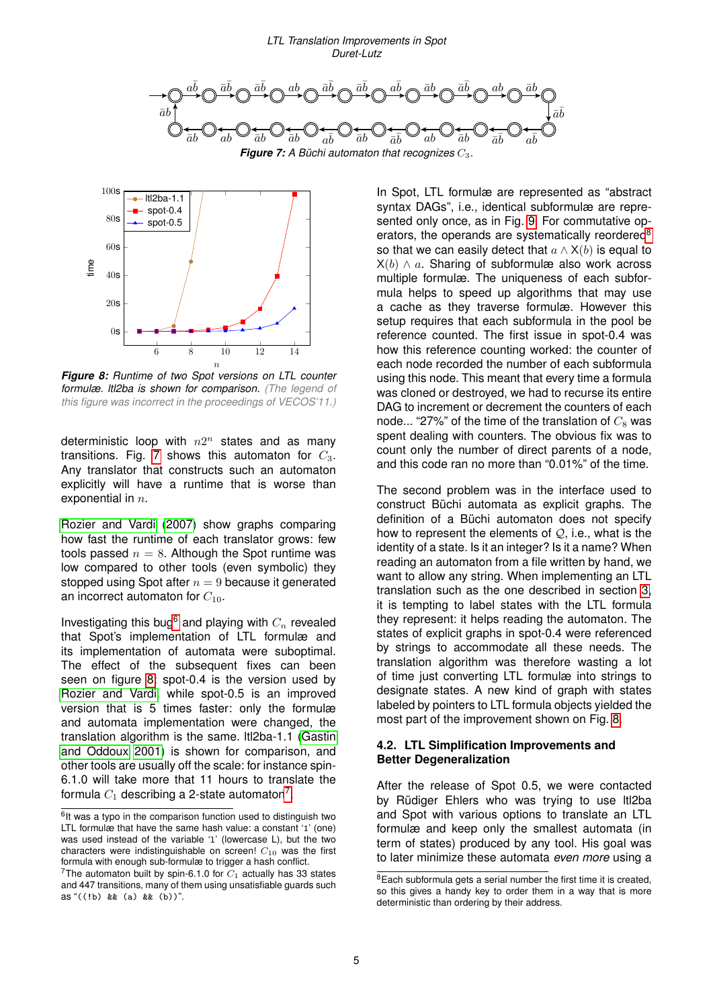<span id="page-4-2"></span>

<span id="page-4-4"></span>

*Figure 8: Runtime of two Spot versions on LTL counter formulæ. ltl2ba is shown for comparison. (The legend of this figure was incorrect in the proceedings of VECOS'11.)*

deterministic loop with  $n2^n$  states and as many transitions. Fig. [7](#page-4-2) shows this automaton for  $C_3$ . Any translator that constructs such an automaton explicitly will have a runtime that is worse than exponential in  $n$ .

[Rozier and Vardi](#page-11-6) [\(2007\)](#page-11-6) show graphs comparing how fast the runtime of each translator grows: few tools passed  $n = 8$ . Although the Spot runtime was low compared to other tools (even symbolic) they stopped using Spot after  $n = 9$  because it generated an incorrect automaton for  $C_{10}$ .

Investigating this bug<sup>[6](#page-4-3)</sup> and playing with  $C_n$  revealed that Spot's implementation of LTL formulæ and its implementation of automata were suboptimal. The effect of the subsequent fixes can been seen on figure [8:](#page-4-4) spot-0.4 is the version used by [Rozier and Vardi,](#page-11-6) while spot-0.5 is an improved version that is 5 times faster: only the formulæ and automata implementation were changed, the translation algorithm is the same. ltl2ba-1.1 [\(Gastin](#page-11-9) [and Oddoux 2001\)](#page-11-9) is shown for comparison, and other tools are usually off the scale: for instance spin-6.1.0 will take more that 11 hours to translate the formula  $C_1$  describing a 2-state automaton<sup>[7](#page-4-1)</sup>.

In Spot, LTL formulæ are represented as "abstract syntax DAGs", i.e., identical subformulæ are represented only once, as in Fig. [9.](#page-5-0) For commutative op-erators, the operands are systematically reordered<sup>[8](#page-4-5)</sup> so that we can easily detect that  $a \wedge X(b)$  is equal to  $X(b) \wedge a$ . Sharing of subformulæ also work across multiple formulæ. The uniqueness of each subformula helps to speed up algorithms that may use a cache as they traverse formulæ. However this setup requires that each subformula in the pool be reference counted. The first issue in spot-0.4 was how this reference counting worked: the counter of each node recorded the number of each subformula using this node. This meant that every time a formula was cloned or destroyed, we had to recurse its entire DAG to increment or decrement the counters of each node... "27%" of the time of the translation of  $C_8$  was spent dealing with counters. The obvious fix was to count only the number of direct parents of a node, and this code ran no more than "0.01%" of the time.

The second problem was in the interface used to construct Büchi automata as explicit graphs. The definition of a Büchi automaton does not specify how to represent the elements of  $Q_i$ , i.e., what is the identity of a state. Is it an integer? Is it a name? When reading an automaton from a file written by hand, we want to allow any string. When implementing an LTL translation such as the one described in section [3,](#page-1-0) it is tempting to label states with the LTL formula they represent: it helps reading the automaton. The states of explicit graphs in spot-0.4 were referenced by strings to accommodate all these needs. The translation algorithm was therefore wasting a lot of time just converting LTL formulæ into strings to designate states. A new kind of graph with states labeled by pointers to LTL formula objects yielded the most part of the improvement shown on Fig. [8.](#page-4-4)

## <span id="page-4-0"></span>**4.2. LTL Simplification Improvements and Better Degeneralization**

After the release of Spot 0.5, we were contacted by Rüdiger Ehlers who was trying to use ltl2ba and Spot with various options to translate an LTL formulæ and keep only the smallest automata (in term of states) produced by any tool. His goal was to later minimize these automata *even more* using a

<span id="page-4-3"></span><sup>&</sup>lt;sup>6</sup>It was a typo in the comparison function used to distinguish two LTL formulæ that have the same hash value: a constant '1' (one) was used instead of the variable '1' (lowercase L), but the two characters were indistinguishable on screen!  $C_{10}$  was the first formula with enough sub-formulæ to trigger a hash conflict.

<span id="page-4-1"></span><sup>&</sup>lt;sup>7</sup>The automaton built by spin-6.1.0 for  $C_1$  actually has 33 states and 447 transitions, many of them using unsatisfiable guards such as "((!b) && (a) && (b))".

<span id="page-4-5"></span><sup>&</sup>lt;sup>8</sup> Each subformula gets a serial number the first time it is created, so this gives a handy key to order them in a way that is more deterministic than ordering by their address.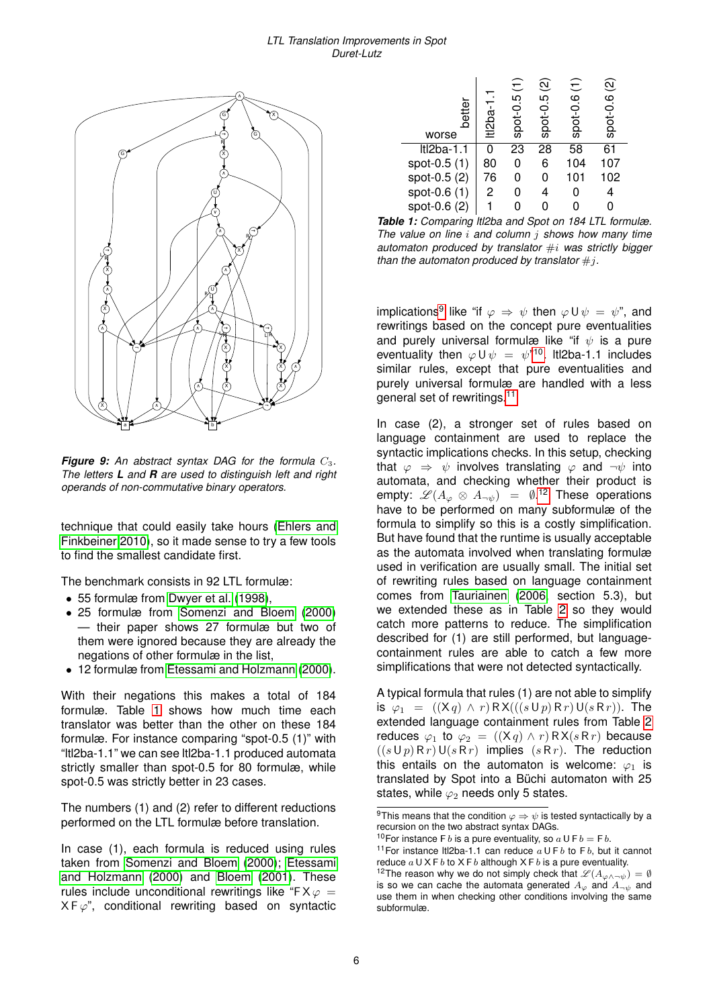#### *LTL Translation Improvements in Spot Duret-Lutz*

<span id="page-5-0"></span>

**Figure 9:** An abstract syntax DAG for the formula  $C_3$ . *The letters L and R are used to distinguish left and right operands of non-commutative binary operators.*

technique that could easily take hours [\(Ehlers and](#page-11-10) [Finkbeiner 2010\)](#page-11-10), so it made sense to try a few tools to find the smallest candidate first.

The benchmark consists in 92 LTL formulæ:

- 55 formulæ from [Dwyer et al.](#page-11-11) [\(1998\)](#page-11-11),
- 25 formulæ from [Somenzi and Bloem](#page-11-12) [\(2000\)](#page-11-12) — their paper shows 27 formulæ but two of them were ignored because they are already the negations of other formulæ in the list,
- 12 formulæ from [Etessami and Holzmann](#page-11-13) [\(2000\)](#page-11-13).

With their negations this makes a total of 184 formulæ. Table [1](#page-5-1) shows how much time each translator was better than the other on these 184 formulæ. For instance comparing "spot-0.5 (1)" with "ltl2ba-1.1" we can see ltl2ba-1.1 produced automata strictly smaller than spot-0.5 for 80 formulæ, while spot-0.5 was strictly better in 23 cases.

The numbers (1) and (2) refer to different reductions performed on the LTL formulæ before translation.

In case (1), each formula is reduced using rules taken from [Somenzi and Bloem](#page-11-12) [\(2000\)](#page-11-12); [Etessami](#page-11-13) [and Holzmann](#page-11-13) [\(2000\)](#page-11-13) and [Bloem](#page-11-14) [\(2001\)](#page-11-14). These rules include unconditional rewritings like "F $X\varphi =$  $X F \varphi$ ", conditional rewriting based on syntactic

<span id="page-5-1"></span>

| better<br>worse   | $t12ba-1$ | spot-0.5 (1) | <u>ଡ</u><br>$500t-0.5$ | spot-0.6 (1) | spot-0.6 (2) |
|-------------------|-----------|--------------|------------------------|--------------|--------------|
| <b>Itl2ba-1.1</b> | ი         | 23           | 28                     | 58           | 61           |
| spot-0.5 (1)      | 80        | 0            | 6                      | 104          | 107          |
| spot-0.5 (2)      | 76        | 0            | 0                      | 101          | 102          |
| spot-0.6 (1)      | 2         | 0            |                        | 0            |              |
| spot-0.6 (2)      |           |              |                        |              |              |

*Table 1: Comparing ltl2ba and Spot on 184 LTL formulæ. The value on line* i *and column* j *shows how many time automaton produced by translator* #i *was strictly bigger than the automaton produced by translator*  $\#j$ .

implications<sup>[9](#page-5-2)</sup> like "if  $\varphi \Rightarrow \psi$  then  $\varphi \cup \psi = \psi$ ", and rewritings based on the concept pure eventualities and purely universal formulæ like "if  $\psi$  is a pure eventuality then  $\varphi \cup \psi = \psi^{n10}$  $\varphi \cup \psi = \psi^{n10}$  $\varphi \cup \psi = \psi^{n10}$ . Itl2ba-1.1 includes similar rules, except that pure eventualities and purely universal formulæ are handled with a less general set of rewritings.[11](#page-5-4)

In case (2), a stronger set of rules based on language containment are used to replace the syntactic implications checks. In this setup, checking that  $\varphi \Rightarrow \psi$  involves translating  $\varphi$  and  $\neg \psi$  into automata, and checking whether their product is empty:  $\mathscr{L}(A_{\varphi} \otimes A_{\neg \psi})$  =  $\emptyset$ .<sup>[12](#page-5-5)</sup> These operations have to be performed on many subformulæ of the formula to simplify so this is a costly simplification. But have found that the runtime is usually acceptable as the automata involved when translating formulæ used in verification are usually small. The initial set of rewriting rules based on language containment comes from [Tauriainen](#page-11-15) [\(2006,](#page-11-15) section 5.3), but we extended these as in Table [2](#page-6-1) so they would catch more patterns to reduce. The simplification described for (1) are still performed, but languagecontainment rules are able to catch a few more simplifications that were not detected syntactically.

A typical formula that rules (1) are not able to simplify is  $\varphi_1 = ((Xq) \wedge r) R X(((s \cup p) R r) U(s R r))$ . The extended language containment rules from Table [2](#page-6-1) reduces  $\varphi_1$  to  $\varphi_2 = ((Xq) \wedge r) R X(s R r)$  because  $((s \cup p) R r) \cup (s R r)$  implies  $(s R r)$ . The reduction this entails on the automaton is welcome:  $\varphi_1$  is translated by Spot into a Büchi automaton with 25 states, while  $\varphi_2$  needs only 5 states.

<span id="page-5-2"></span><sup>&</sup>lt;sup>9</sup>This means that the condition  $\varphi \Rightarrow \psi$  is tested syntactically by a recursion on the two abstract syntax DAGs.

<span id="page-5-3"></span><sup>&</sup>lt;sup>10</sup>For instance F b is a pure eventuality, so  $a \cup F b = F b$ .

<span id="page-5-4"></span><sup>&</sup>lt;sup>11</sup> For instance It 2ba-1.1 can reduce  $a \cup Fb$  to Fb, but it cannot reduce  $a \cup X \vdash b$  to  $X \vdash b$  although  $X \vdash b$  is a pure eventuality.

<span id="page-5-5"></span><sup>&</sup>lt;sup>12</sup>The reason why we do not simply check that  $\mathscr{L}(A_{\varphi \wedge \neg \psi}) = \emptyset$ is so we can cache the automata generated  $A_{\varphi}$  and  $A_{\neg w}$  and use them in when checking other conditions involving the same subformulæ.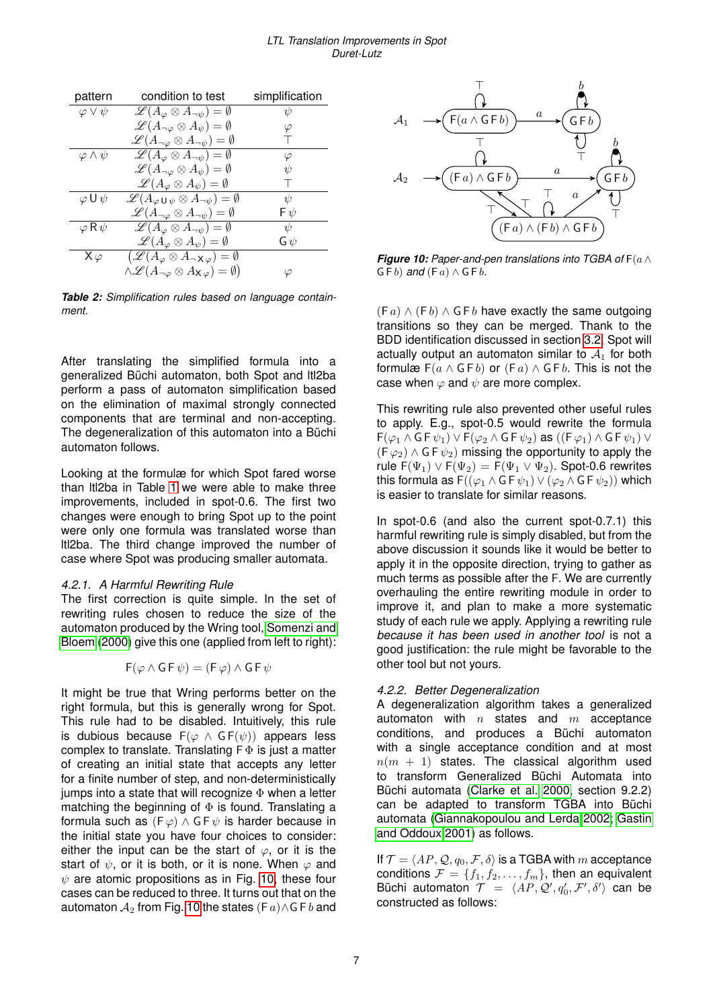#### *LTL Translation Improvements in Spot Duret-Lutz*

<span id="page-6-1"></span>

| pattern                        | condition to test                                                                | simplification |
|--------------------------------|----------------------------------------------------------------------------------|----------------|
| $\varphi \vee \psi$            | $\mathscr{L}(A_{\varphi}\otimes A_{\neg\psi})=\emptyset$                         | ψ              |
|                                | $\mathscr{L}(A_{\neg\varphi}\otimes A_{\psi})=\emptyset$                         | $\varphi$      |
|                                | $\mathscr{L}(A_{\neg \varphi} \otimes A_{\neg \psi}) = \emptyset$                |                |
| $\varphi \wedge \psi$          | $\mathscr{L}(A_{\varphi}\otimes A_{\neg\psi})=\emptyset$                         | $\varphi$      |
|                                | $\mathscr{L}(A_{\neg \varphi} \otimes A_{\psi}) = \emptyset$                     | $\psi$         |
|                                | $\mathscr{L}(A_{\varphi}\otimes A_{\psi})=\emptyset$                             |                |
| $\varphi \mathsf{U}\,\psi$     | $\mathscr{L}(A_{\varphi\cup\psi}\otimes A_{\neg\psi})=\emptyset$                 | $\psi$         |
|                                | $\mathscr{L}(A_{\neg \varphi} \otimes A_{\neg \psi}) = \emptyset$                | Fψ             |
| $\varphi \, \mathsf R \, \psi$ | $\mathscr{L}(A_{\varphi}\otimes A_{\neg\psi})=\emptyset$                         | $\psi$         |
|                                | $\mathscr{L}(A_{\varphi}\otimes A_{\psi})=\emptyset$                             | Gψ             |
| Xφ                             | $(\mathscr{L}(A_{\varphi}\otimes A_{\neg X\varphi})=\emptyset$                   |                |
|                                | $\wedge \mathscr{L}(A_{\neg \varphi} \otimes A_{\mathsf{X}\varphi}) = \emptyset$ |                |

*Table 2: Simplification rules based on language containment.*

After translating the simplified formula into a generalized Büchi automaton, both Spot and ltl2ba perform a pass of automaton simplification based on the elimination of maximal strongly connected components that are terminal and non-accepting. The degeneralization of this automaton into a Büchi automaton follows.

Looking at the formulæ for which Spot fared worse than ltl2ba in Table [1](#page-5-1) we were able to make three improvements, included in spot-0.6. The first two changes were enough to bring Spot up to the point were only one formula was translated worse than ltl2ba. The third change improved the number of case where Spot was producing smaller automata.

### <span id="page-6-3"></span>*4.2.1. A Harmful Rewriting Rule*

The first correction is quite simple. In the set of rewriting rules chosen to reduce the size of the automaton produced by the Wring tool, [Somenzi and](#page-11-12) [Bloem](#page-11-12) [\(2000\)](#page-11-12) give this one (applied from left to right):

$$
F(\varphi \wedge G F \psi) = (F \varphi) \wedge G F \psi
$$

It might be true that Wring performs better on the right formula, but this is generally wrong for Spot. This rule had to be disabled. Intuitively, this rule is dubious because  $F(\varphi \land GF(\psi))$  appears less complex to translate. Translating  $F \Phi$  is just a matter of creating an initial state that accepts any letter for a finite number of step, and non-deterministically jumps into a state that will recognize  $\Phi$  when a letter matching the beginning of  $\Phi$  is found. Translating a formula such as  $(F \varphi) \wedge G F \psi$  is harder because in the initial state you have four choices to consider: either the input can be the start of  $\varphi$ , or it is the start of  $\psi$ , or it is both, or it is none. When  $\varphi$  and  $\psi$  are atomic propositions as in Fig. [10,](#page-6-2) these four cases can be reduced to three. It turns out that on the automaton  $A_2$  from Fig. [10](#page-6-2) the states (F  $a$ ) ∧G F  $b$  and

<span id="page-6-2"></span>

*Figure 10: Paper-and-pen translations into TGBA of* F(a∧  $G \nvdash b$ ) *and*  $(F a) \wedge G F b$ .

 $(F a) \wedge (F b) \wedge G F b$  have exactly the same outgoing transitions so they can be merged. Thank to the BDD identification discussed in section [3.2,](#page-3-3) Spot will actually output an automaton similar to  $A_1$  for both formulæ  $F(a \wedge G F b)$  or  $(F a) \wedge G F b$ . This is not the case when  $\varphi$  and  $\psi$  are more complex.

This rewriting rule also prevented other useful rules to apply. E.g., spot-0.5 would rewrite the formula  $F(\varphi_1 \wedge G F \psi_1) \vee F(\varphi_2 \wedge G F \psi_2)$  as  $((F \varphi_1) \wedge G F \psi_1) \vee$  $(F \varphi_2) \wedge G F \psi_2$  missing the opportunity to apply the rule  $F(\Psi_1) \vee F(\Psi_2) = F(\Psi_1 \vee \Psi_2)$ . Spot-0.6 rewrites this formula as  $F((\varphi_1 \wedge G F \psi_1) \vee (\varphi_2 \wedge G F \psi_2))$  which is easier to translate for similar reasons.

In spot-0.6 (and also the current spot-0.7.1) this harmful rewriting rule is simply disabled, but from the above discussion it sounds like it would be better to apply it in the opposite direction, trying to gather as much terms as possible after the F. We are currently overhauling the entire rewriting module in order to improve it, and plan to make a more systematic study of each rule we apply. Applying a rewriting rule *because it has been used in another tool* is not a good justification: the rule might be favorable to the other tool but not yours.

## <span id="page-6-0"></span>*4.2.2. Better Degeneralization*

A degeneralization algorithm takes a generalized automaton with  $n$  states and  $m$  acceptance conditions, and produces a Büchi automaton with a single acceptance condition and at most  $n(m + 1)$  states. The classical algorithm used to transform Generalized Büchi Automata into Büchi automata [\(Clarke et al. 2000,](#page-11-4) section 9.2.2) can be adapted to transform TGBA into Büchi automata [\(Giannakopoulou and Lerda 2002;](#page-11-16) [Gastin](#page-11-9) [and Oddoux 2001\)](#page-11-9) as follows.

If  $\mathcal{T} = \langle AP, Q, q_0, \mathcal{F}, \delta \rangle$  is a TGBA with m acceptance conditions  $\mathcal{F} = \{f_1, f_2, \ldots, f_m\}$ , then an equivalent Büchi automaton  $\mathcal{T} = \langle AP, Q', q'_0, \mathcal{F}', \delta' \rangle$  can be constructed as follows: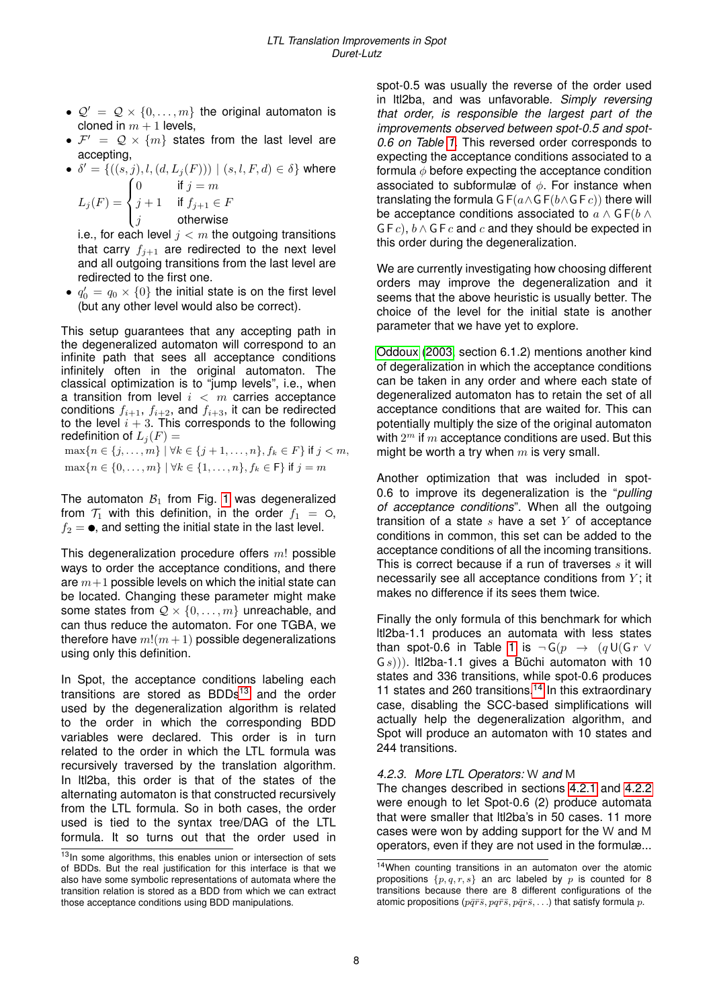- $\mathcal{Q}' = \mathcal{Q} \times \{0, \ldots, m\}$  the original automaton is cloned in  $m + 1$  levels,
- $\mathcal{F}' = \mathcal{Q} \times \{m\}$  states from the last level are accepting,
- $\bullet \ \delta' = \{((s, j), l, (d, L_j(F))) \mid (s, l, F, d) \in \delta\}$  where  $L_j(F) =$  $\sqrt{ }$  $\int$ 0 if  $j = m$  $j+1$  if  $f_{j+1} \in F$

 $j$  otherwise

 $\overline{\mathcal{L}}$ i.e., for each level  $j < m$  the outgoing transitions that carry  $f_{i+1}$  are redirected to the next level and all outgoing transitions from the last level are redirected to the first one.

•  $q'_0 = q_0 \times \{0\}$  the initial state is on the first level (but any other level would also be correct).

This setup guarantees that any accepting path in the degeneralized automaton will correspond to an infinite path that sees all acceptance conditions infinitely often in the original automaton. The classical optimization is to "jump levels", i.e., when a transition from level  $i < m$  carries acceptance conditions  $f_{i+1}$ ,  $f_{i+2}$ , and  $f_{i+3}$ , it can be redirected to the level  $i + 3$ . This corresponds to the following redefinition of  $L_j(F) =$  $\max\{n \in \{j, \ldots, m\} \mid \forall k \in \{j+1, \ldots, n\}, f_k \in F\}$  if  $j < m$ ,  $\max\{n \in \{0, \ldots, m\} \mid \forall k \in \{1, \ldots, n\}, f_k \in \mathsf{F}\}\$ if  $j = m$ 

The automaton  $B_1$  from Fig. [1](#page-1-1) was degeneralized from  $\mathcal{T}_1$  with this definition, in the order  $f_1 = \circ$ ,  $f_2 = \bullet$ , and setting the initial state in the last level.

This degeneralization procedure offers  $m!$  possible ways to order the acceptance conditions, and there are  $m+1$  possible levels on which the initial state can be located. Changing these parameter might make some states from  $Q \times \{0, \ldots, m\}$  unreachable, and can thus reduce the automaton. For one TGBA, we therefore have  $m!(m+1)$  possible degeneralizations using only this definition.

In Spot, the acceptance conditions labeling each transitions are stored as  $BDDs<sup>13</sup>$  $BDDs<sup>13</sup>$  $BDDs<sup>13</sup>$  and the order used by the degeneralization algorithm is related to the order in which the corresponding BDD variables were declared. This order is in turn related to the order in which the LTL formula was recursively traversed by the translation algorithm. In ltl2ba, this order is that of the states of the alternating automaton is that constructed recursively from the LTL formula. So in both cases, the order used is tied to the syntax tree/DAG of the LTL formula. It so turns out that the order used in spot-0.5 was usually the reverse of the order used in ltl2ba, and was unfavorable. *Simply reversing that order, is responsible the largest part of the improvements observed between spot-0.5 and spot-0.6 on Table [1.](#page-5-1)* This reversed order corresponds to expecting the acceptance conditions associated to a formula  $\phi$  before expecting the acceptance condition associated to subformulæ of  $\phi$ . For instance when translating the formula G  $F(a \wedge G F(b \wedge G F c))$  there will be acceptance conditions associated to  $a \wedge G F(b \wedge b)$  $G F c$ ,  $b \wedge G F c$  and c and they should be expected in this order during the degeneralization.

We are currently investigating how choosing different orders may improve the degeneralization and it seems that the above heuristic is usually better. The choice of the level for the initial state is another parameter that we have yet to explore.

[Oddoux](#page-11-17) [\(2003,](#page-11-17) section 6.1.2) mentions another kind of degeralization in which the acceptance conditions can be taken in any order and where each state of degeneralized automaton has to retain the set of all acceptance conditions that are waited for. This can potentially multiply the size of the original automaton with  $2^m$  if  $m$  acceptance conditions are used. But this might be worth a try when  $m$  is very small.

Another optimization that was included in spot-0.6 to improve its degeneralization is the "*pulling of acceptance conditions*". When all the outgoing transition of a state  $s$  have a set  $Y$  of acceptance conditions in common, this set can be added to the acceptance conditions of all the incoming transitions. This is correct because if a run of traverses  $s$  it will necessarily see all acceptance conditions from  $Y$ ; it makes no difference if its sees them twice.

Finally the only formula of this benchmark for which ltl2ba-1.1 produces an automata with less states than spot-0.6 in Table [1](#page-5-1) is  $\neg G(p \rightarrow (q \cup (Gr \vee$  $(S(s))$ ). Itl2ba-1.1 gives a Büchi automaton with 10 states and 336 transitions, while spot-0.6 produces 11 states and 260 transitions.<sup>[14](#page-7-1)</sup> In this extraordinary case, disabling the SCC-based simplifications will actually help the degeneralization algorithm, and Spot will produce an automaton with 10 states and 244 transitions.

## *4.2.3. More LTL Operators:* W *and* M

The changes described in sections [4.2.1](#page-6-3) and [4.2.2](#page-6-0) were enough to let Spot-0.6 (2) produce automata that were smaller that ltl2ba's in 50 cases. 11 more cases were won by adding support for the W and M operators, even if they are not used in the formulæ...

<span id="page-7-0"></span><sup>&</sup>lt;sup>13</sup>In some algorithms, this enables union or intersection of sets of BDDs. But the real justification for this interface is that we also have some symbolic representations of automata where the transition relation is stored as a BDD from which we can extract those acceptance conditions using BDD manipulations.

<span id="page-7-1"></span><sup>14</sup>When counting transitions in an automaton over the atomic propositions  $\{p, q, r, s\}$  an arc labeled by p is counted for 8 transitions because there are 8 different configurations of the atomic propositions ( $p\bar{q}\bar{r}\bar{s}$ ,  $pq\bar{r}\bar{s}$ ,  $p\bar{q}r\bar{s}$ , ...) that satisfy formula p.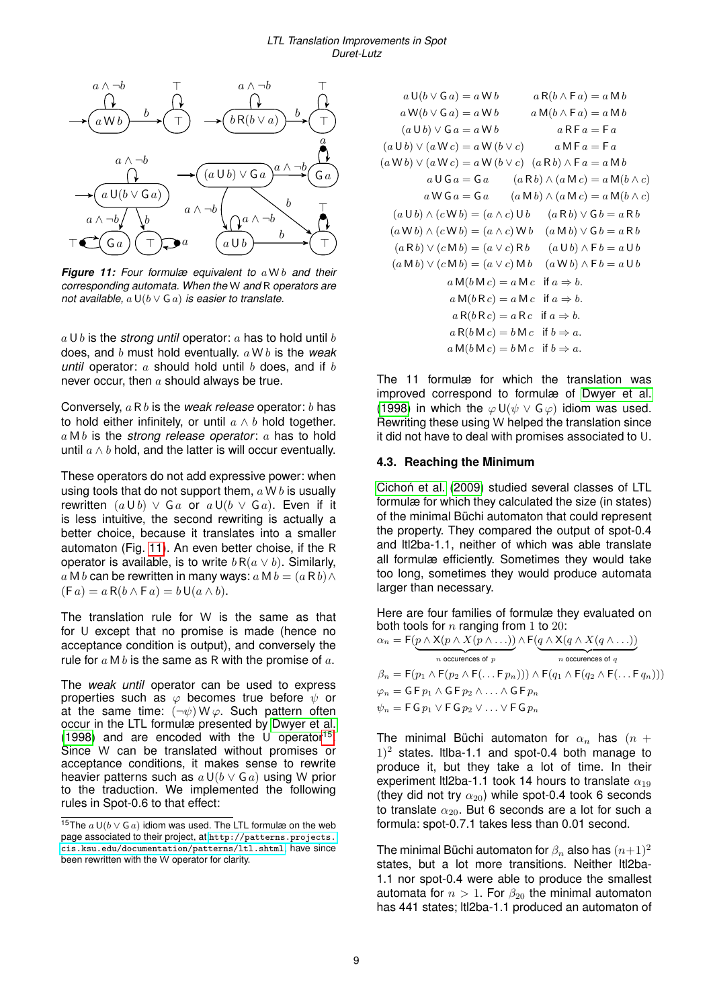<span id="page-8-0"></span>

*Figure 11: Four formulæ equivalent to* a W b *and their corresponding automata. When the* W *and* R *operators are not available,* a U(b ∨ G a) *is easier to translate.*

 $a \cup b$  is the *strong until* operator: a has to hold until b does, and b must hold eventually. a W b is the *weak until* operator:  $a$  should hold until  $b$  does, and if  $b$ never occur, then  $a$  should always be true.

Conversely, a R b is the *weak release* operator: b has to hold either infinitely, or until  $a \wedge b$  hold together. a M b is the *strong release operator*: a has to hold until  $a \wedge b$  hold, and the latter is will occur eventually.

These operators do not add expressive power: when using tools that do not support them,  $a \mathbf{W} b$  is usually rewritten  $(a \cup b) \vee Ga$  or  $a \cup (b \vee Ga)$ . Even if it is less intuitive, the second rewriting is actually a better choice, because it translates into a smaller automaton (Fig. [11\)](#page-8-0). An even better choise, if the R operator is available, is to write  $b R(a \vee b)$ . Similarly, a M b can be rewritten in many ways:  $a \mathbf{M} b = (a \mathbf{R} b) \wedge$  $(F a) = a R(b \wedge F a) = b U(a \wedge b).$ 

The translation rule for W is the same as that for U except that no promise is made (hence no acceptance condition is output), and conversely the rule for  $a \mathsf{M} b$  is the same as R with the promise of  $a$ .

The *weak until* operator can be used to express properties such as  $\varphi$  becomes true before  $\psi$  or at the same time:  $(\neg \psi) \mathsf{W} \varphi$ . Such pattern often occur in the LTL formulæ presented by [Dwyer et al.](#page-11-11) [\(1998\)](#page-11-11) and are encoded with the U operator<sup>[15](#page-8-1)</sup>. Since W can be translated without promises or acceptance conditions, it makes sense to rewrite heavier patterns such as  $a \cup (b \vee G a)$  using W prior to the traduction. We implemented the following rules in Spot-0.6 to that effect:

$$
a U(b \vee Ga) = a Wb \qquad a R(b \wedge Fa) = a Mb
$$
  
\n
$$
a W(b \vee Ga) = a Wb \qquad a M(b \wedge Fa) = a Mb
$$
  
\n
$$
(a U b) \vee (a W c) = a W(b \vee c) \qquad a NFa = Fa
$$
  
\n
$$
(a W b) \vee (a W c) = a W(b \vee c) \qquad a MFa = Fa
$$
  
\n
$$
(a W b) \vee (a W c) = a W(b \vee c) \qquad (a Rb) \wedge Fa = a Mb
$$
  
\n
$$
a U Ga = Ga \qquad (a Rb) \wedge (a Mc) = a M(b \wedge c)
$$
  
\n
$$
a W Ga = Ga \qquad (a Mb) \wedge (a Mc) = a M(b \wedge c)
$$
  
\n
$$
(a U b) \wedge (c W b) = (a \wedge c) Ub \qquad (a Rb) \vee Gb = a Rb
$$
  
\n
$$
(a W b) \vee (c M b) = (a \vee c) Rb \qquad (a U b) \wedge Fb = a Ub
$$
  
\n
$$
(a Mb) \vee (c Mb) = (a \vee c) Rb \qquad (a Ub) \wedge Fb = a Ub
$$
  
\n
$$
a M(b M c) = a M c \qquad if a \Rightarrow b.
$$
  
\n
$$
a M(b R c) = a R c \qquad if a \Rightarrow b.
$$
  
\n
$$
a R(b R c) = a R c \qquad if a \Rightarrow b.
$$
  
\n
$$
a R(b R c) = b M c \qquad if b \Rightarrow a.
$$
  
\n
$$
a M(b M c) = b M c \qquad if b \Rightarrow a.
$$

The 11 formulæ for which the translation was improved correspond to formulæ of [Dwyer et al.](#page-11-11) [\(1998\)](#page-11-11) in which the  $\varphi \cup (\psi \vee \mathsf{G}\varphi)$  idiom was used. Rewriting these using W helped the translation since it did not have to deal with promises associated to U.

## **4.3. Reaching the Minimum**

Cichoń et al. [\(2009\)](#page-11-18) studied several classes of LTL formulæ for which they calculated the size (in states) of the minimal Büchi automaton that could represent the property. They compared the output of spot-0.4 and ltl2ba-1.1, neither of which was able translate all formulæ efficiently. Sometimes they would take too long, sometimes they would produce automata larger than necessary.

Here are four families of formulæ they evaluated on both tools for  $n$  ranging from 1 to 20:

|                                                                                                                         | $\alpha_n = \mathsf{F}(p \wedge \mathsf{X}(p \wedge X(p \wedge \ldots)) \wedge \mathsf{F}(q \wedge \mathsf{X}(q \wedge X(q \wedge \ldots)))$                                       |
|-------------------------------------------------------------------------------------------------------------------------|------------------------------------------------------------------------------------------------------------------------------------------------------------------------------------|
| $n$ occurences of $p$                                                                                                   | $n$ occurences of $q$                                                                                                                                                              |
|                                                                                                                         | $\beta_n = \mathsf{F}(p_1 \wedge \mathsf{F}(p_2 \wedge \mathsf{F}(\ldots \mathsf{F} p_n))) \wedge \mathsf{F}(q_1 \wedge \mathsf{F}(q_2 \wedge \mathsf{F}(\ldots \mathsf{F} q_n)))$ |
| $\varphi_n = \mathsf{G} \mathsf{F} p_1 \wedge \mathsf{G} \mathsf{F} p_2 \wedge \ldots \wedge \mathsf{G} \mathsf{F} p_n$ |                                                                                                                                                                                    |
| $\psi_n = F G p_1 \vee F G p_2 \vee \ldots \vee F G p_n$                                                                |                                                                                                                                                                                    |

The minimal Büchi automaton for  $\alpha_n$  has  $(n +$  $(1)^2$  states. Itiba-1.1 and spot-0.4 both manage to produce it, but they take a lot of time. In their experiment ltl2ba-1.1 took 14 hours to translate  $\alpha_{19}$ (they did not try  $\alpha_{20}$ ) while spot-0.4 took 6 seconds to translate  $\alpha_{20}$ . But 6 seconds are a lot for such a formula: spot-0.7.1 takes less than 0.01 second.

The minimal Büchi automaton for  $\beta_n$  also has  $(n+1)^2$ states, but a lot more transitions. Neither ltl2ba-1.1 nor spot-0.4 were able to produce the smallest automata for  $n > 1$ . For  $\beta_{20}$  the minimal automaton has 441 states; ltl2ba-1.1 produced an automaton of

<span id="page-8-1"></span><sup>15</sup>The  $a U(b \vee G a)$  idiom was used. The LTL formulæ on the web page associated to their project, at [http://patterns.projects.](http://patterns.projects.cis.ksu.edu/documentation/patterns/ltl.shtml) [cis.ksu.edu/documentation/patterns/ltl.shtml](http://patterns.projects.cis.ksu.edu/documentation/patterns/ltl.shtml), have since been rewritten with the W operator for clarity.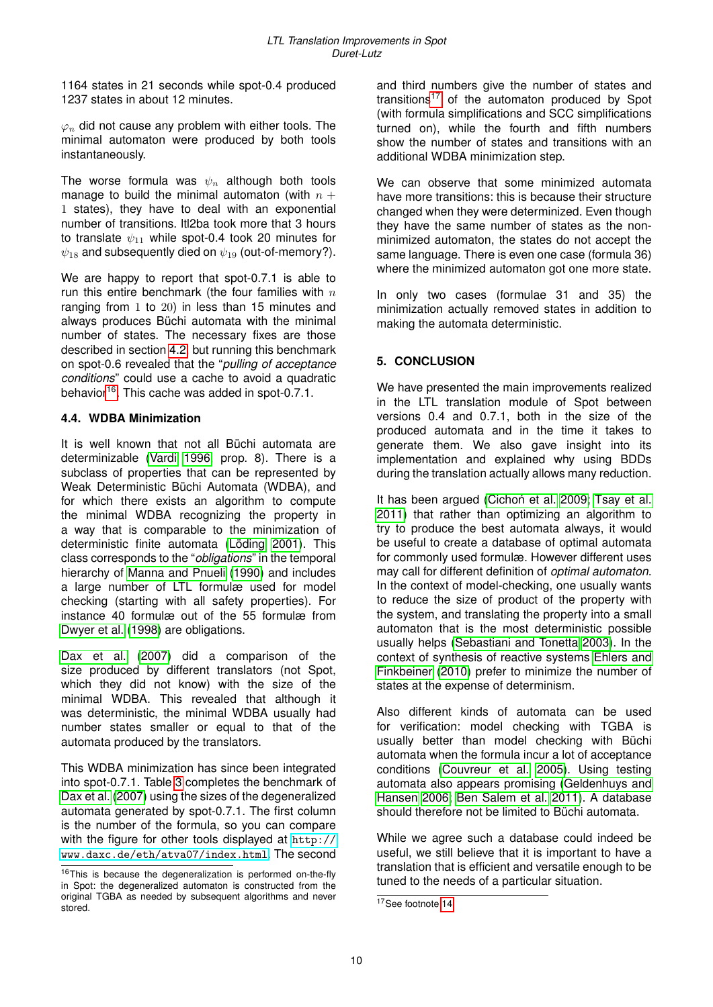1164 states in 21 seconds while spot-0.4 produced 1237 states in about 12 minutes.

 $\varphi_n$  did not cause any problem with either tools. The minimal automaton were produced by both tools instantaneously.

The worse formula was  $\psi_n$  although both tools manage to build the minimal automaton (with  $n +$ 1 states), they have to deal with an exponential number of transitions. ltl2ba took more that 3 hours to translate  $\psi_{11}$  while spot-0.4 took 20 minutes for  $\psi_{18}$  and subsequently died on  $\psi_{19}$  (out-of-memory?).

We are happy to report that spot-0.7.1 is able to run this entire benchmark (the four families with  $n$ ranging from 1 to 20) in less than 15 minutes and always produces Büchi automata with the minimal number of states. The necessary fixes are those described in section [4.2,](#page-4-0) but running this benchmark on spot-0.6 revealed that the "*pulling of acceptance conditions*" could use a cache to avoid a quadratic behavior<sup>[16](#page-9-0)</sup>. This cache was added in spot-0.7.1.

# **4.4. WDBA Minimization**

It is well known that not all Büchi automata are determinizable [\(Vardi 1996,](#page-11-0) prop. 8). There is a subclass of properties that can be represented by Weak Deterministic Büchi Automata (WDBA), and for which there exists an algorithm to compute the minimal WDBA recognizing the property in a way that is comparable to the minimization of deterministic finite automata [\(Löding 2001\)](#page-11-19). This class corresponds to the "*obligations*" in the temporal hierarchy of [Manna and Pnueli](#page-11-20) [\(1990\)](#page-11-20) and includes a large number of LTL formulæ used for model checking (starting with all safety properties). For instance 40 formulæ out of the 55 formulæ from [Dwyer et al.](#page-11-11) [\(1998\)](#page-11-11) are obligations.

[Dax et al.](#page-11-21) [\(2007\)](#page-11-21) did a comparison of the size produced by different translators (not Spot, which they did not know) with the size of the minimal WDBA. This revealed that although it was deterministic, the minimal WDBA usually had number states smaller or equal to that of the automata produced by the translators.

This WDBA minimization has since been integrated into spot-0.7.1. Table [3](#page-10-0) completes the benchmark of [Dax et al.](#page-11-21) [\(2007\)](#page-11-21) using the sizes of the degeneralized automata generated by spot-0.7.1. The first column is the number of the formula, so you can compare with the figure for other tools displayed at [http://](http://www.daxc.de/eth/atva07/index.html) [www.daxc.de/eth/atva07/index.html](http://www.daxc.de/eth/atva07/index.html). The second and third numbers give the number of states and transitions[17](#page-9-1) of the automaton produced by Spot (with formula simplifications and SCC simplifications turned on), while the fourth and fifth numbers show the number of states and transitions with an additional WDBA minimization step.

We can observe that some minimized automata have more transitions: this is because their structure changed when they were determinized. Even though they have the same number of states as the nonminimized automaton, the states do not accept the same language. There is even one case (formula 36) where the minimized automaton got one more state.

In only two cases (formulae 31 and 35) the minimization actually removed states in addition to making the automata deterministic.

# **5. CONCLUSION**

We have presented the main improvements realized in the LTL translation module of Spot between versions 0.4 and 0.7.1, both in the size of the produced automata and in the time it takes to generate them. We also gave insight into its implementation and explained why using BDDs during the translation actually allows many reduction.

It has been argued [\(Cichon et al. 2009;](#page-11-18) [Tsay et al.](#page-11-22) [2011\)](#page-11-22) that rather than optimizing an algorithm to try to produce the best automata always, it would be useful to create a database of optimal automata for commonly used formulæ. However different uses may call for different definition of *optimal automaton*. In the context of model-checking, one usually wants to reduce the size of product of the property with the system, and translating the property into a small automaton that is the most deterministic possible usually helps [\(Sebastiani and Tonetta 2003\)](#page-11-23). In the context of synthesis of reactive systems [Ehlers and](#page-11-10) [Finkbeiner](#page-11-10) [\(2010\)](#page-11-10) prefer to minimize the number of states at the expense of determinism.

Also different kinds of automata can be used for verification: model checking with TGBA is usually better than model checking with Büchi automata when the formula incur a lot of acceptance conditions [\(Couvreur et al. 2005\)](#page-11-24). Using testing automata also appears promising [\(Geldenhuys and](#page-11-25) [Hansen 2006;](#page-11-25) [Ben Salem et al. 2011\)](#page-11-26). A database should therefore not be limited to Büchi automata.

While we agree such a database could indeed be useful, we still believe that it is important to have a translation that is efficient and versatile enough to be tuned to the needs of a particular situation.

<span id="page-9-0"></span><sup>16</sup>This is because the degeneralization is performed on-the-fly in Spot: the degeneralized automaton is constructed from the original TGBA as needed by subsequent algorithms and never stored.

<span id="page-9-1"></span><sup>17</sup>See footnote [14.](#page-7-1)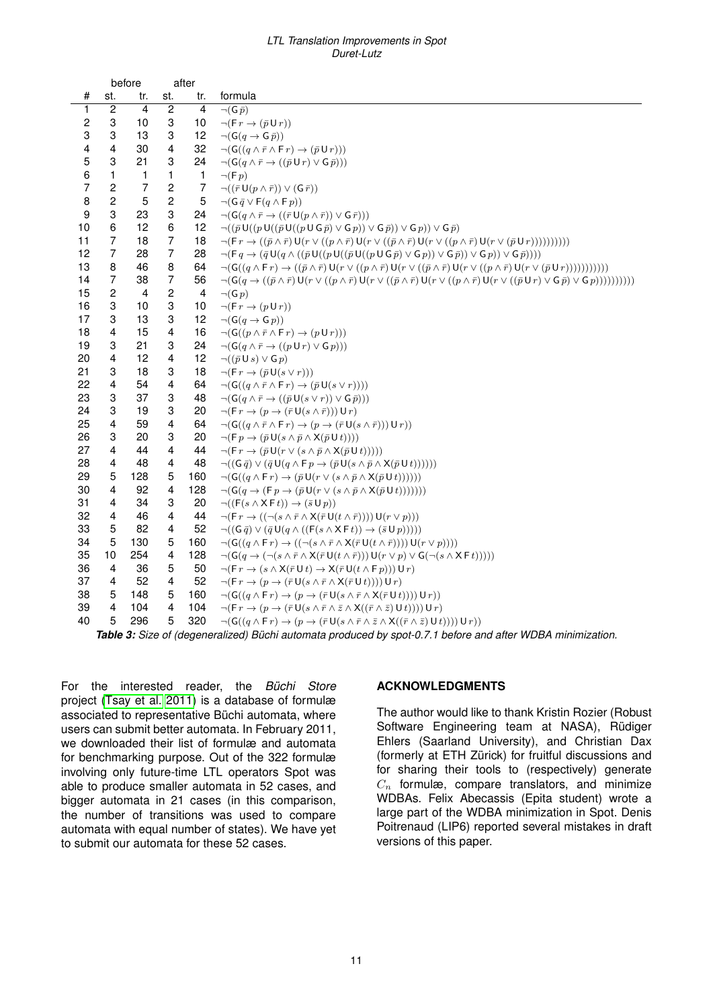#### *LTL Translation Improvements in Spot Duret-Lutz*

<span id="page-10-0"></span>

|                  | before<br>after |                         |                |                |                                                                                                                                                                                                                                                 |
|------------------|-----------------|-------------------------|----------------|----------------|-------------------------------------------------------------------------------------------------------------------------------------------------------------------------------------------------------------------------------------------------|
| #                | st.             | tr.                     | st.            | tr.            | formula                                                                                                                                                                                                                                         |
| 1                | $\overline{2}$  | $\overline{4}$          | $\overline{2}$ | $\overline{4}$ | $\neg(G \bar{p})$                                                                                                                                                                                                                               |
| $\boldsymbol{2}$ | 3               | 10                      | 3              | 10             | $\neg (F r \rightarrow (\bar{p} U r))$                                                                                                                                                                                                          |
| 3                | 3               | 13                      | 3              | 12             | $\neg(G(q \rightarrow G\bar{p}))$                                                                                                                                                                                                               |
| 4                | 4               | 30                      | 4              | 32             | $\neg (G((q \wedge \overline{r} \wedge \overline{F}r) \rightarrow (\overline{p} \cup r)))$                                                                                                                                                      |
| 5                | 3               | 21                      | 3              | 24             | $\neg (G(q \wedge \overline{r} \rightarrow ((\overline{p} \cup r) \vee G \overline{p})))$                                                                                                                                                       |
| 6                | 1               | 1                       | 1              | 1              | $\neg$ (F p)                                                                                                                                                                                                                                    |
| $\overline{7}$   | $\overline{c}$  | $\overline{7}$          | 2              | 7              | $\neg((\bar{r}\mathsf{U}(p\wedge \bar{r}))\vee(\mathsf{G}\,\bar{r}))$                                                                                                                                                                           |
| 8                | $\overline{c}$  | 5                       | $\overline{c}$ | 5              | $\neg(G \bar{q} \vee F(q \wedge F p))$                                                                                                                                                                                                          |
| 9                | 3               | 23                      | 3              | 24             | $\lnot ( \mathsf{G}(q \land \bar{r} \rightarrow ((\bar{r} \mathsf{U}(p \land \bar{r})) \vee \mathsf{G}\,\bar{r})))$                                                                                                                             |
| 10               | 6               | 12                      | 6              | 12             | $\neg((\bar{p}\mathsf{U}((p\mathsf{U}((\bar{p}\mathsf{U}((p\mathsf{U}\mathsf{G}\bar{p})\vee\mathsf{G}\bar{p}))\vee\mathsf{G}\bar{p}))\vee\mathsf{G}\bar{p}))\vee\mathsf{G}\bar{p})$                                                             |
| 11               | 7               | 18                      | 7              | 18             | $\neg (F r \rightarrow ((\bar{p} \wedge \bar{r}) U(r \vee ((p \wedge \bar{r}) U(r \vee ((\bar{p} \wedge \bar{r}) U(r \vee ((p \wedge \bar{r}) U(r \vee (\bar{p} U r))))))))))$                                                                  |
| 12               | $\overline{7}$  | 28                      | $\overline{7}$ | 28             | $\neg (F q \rightarrow (\bar{q} U(q \wedge ((\bar{p} U((p U((\bar{p} U((p U G \bar{p}) \vee G p)) \vee G \bar{p})) \vee G p))) \vee G \bar{p}))))$                                                                                              |
| 13               | 8               | 46                      | 8              | 64             | $\neg(G((q \wedge \mathsf{F}r) \rightarrow ((\bar{p} \wedge \bar{r}) \mathsf{U}(r \vee ((p \wedge \bar{r}) \mathsf{U}(r \vee ((\bar{p} \wedge \bar{r}) \mathsf{U}(r \vee ((p \wedge \bar{r}) \mathsf{U}(r \vee (\bar{p} \mathsf{U}r)))))))))))$ |
| 14               | $\overline{7}$  | 38                      | 7              | 56             | $\neg(G(q \rightarrow ((\bar{p} \land \bar{r}) \cup (r \lor ((p \land \bar{r}) \cup (r \lor ((\bar{p} \land \bar{r}) \cup (r \lor ((p \land \bar{r}) \cup (r \lor ((\bar{p} \cup r) \lor G \bar{p}) \lor G)))))))))))$                          |
| 15               | $\overline{c}$  | $\overline{\mathbf{4}}$ | $\overline{c}$ | $\overline{4}$ | $\neg(G p)$                                                                                                                                                                                                                                     |
| 16               | 3               | 10                      | 3              | 10             | $\neg(\mathsf{F}\, r\rightarrow (p\,\mathsf{U}\, r))$                                                                                                                                                                                           |
| 17               | 3               | 13                      | 3              | 12             | $\neg(G(q \rightarrow G p))$                                                                                                                                                                                                                    |
| 18               | 4               | 15                      | 4              | 16             | $\neg (G((p \land \overline{r} \land \overline{F}r) \rightarrow (p \cup r)))$                                                                                                                                                                   |
| 19               | 3               | 21                      | 3              | 24             | $\neg (G(q \land \overline{r} \rightarrow ((p \cup r) \lor G p)))$                                                                                                                                                                              |
| 20               | 4               | 12                      | 4              | 12             | $\neg((\bar{p}\cup s)\vee\cup p)$                                                                                                                                                                                                               |
| 21               | 3               | 18                      | 3              | 18             | $\neg (F r \rightarrow (\bar{p} U(s \vee r)))$                                                                                                                                                                                                  |
| 22               | 4               | 54                      | 4              | 64             | $\neg (G((q \wedge \overline{r} \wedge \overline{F}r) \rightarrow (\overline{p}U(s \vee r))))$                                                                                                                                                  |
| 23               | 3               | 37                      | 3              | 48             | $\neg (G(q \wedge \overline{r} \rightarrow ((\overline{p} U(s \vee r)) \vee G \overline{p})))$                                                                                                                                                  |
| 24               | 3               | 19                      | 3              | 20             | $\neg (F r \rightarrow (p \rightarrow (\bar{r} U(s \wedge \bar{r}))) U r)$                                                                                                                                                                      |
| 25               | $\overline{4}$  | 59                      | 4              | 64             | $\neg (G((q \wedge \overline{r} \wedge \overline{F} r) \rightarrow (p \rightarrow (\overline{r} U(s \wedge \overline{r}))) U r))$                                                                                                               |
| 26               | 3               | 20                      | 3              | 20             | $\neg (F p \rightarrow (\bar{p} U(s \wedge \bar{p} \wedge X(\bar{p} U t))))$                                                                                                                                                                    |
| 27               | 4               | 44                      | 4              | 44             | $\neg (F r \rightarrow (\bar{p} U(r \vee (s \wedge \bar{p} \wedge X(\bar{p} U t))))$                                                                                                                                                            |
| 28               | 4               | 48                      | 4              | 48             | $\neg((\mathsf{G}\,\bar{q})\vee(\bar{q}\,\mathsf{U}(q\wedge\mathsf{F}\,p\rightarrow(\bar{p}\,\mathsf{U}(s\wedge\bar{p}\wedge\mathsf{X}(\bar{p}\,\mathsf{U}\,t))))))$                                                                            |
| 29               | 5               | 128                     | 5              | 160            | $\neg (G((q \wedge \mathsf{F} r) \rightarrow (\bar{p} \mathsf{U}(r \vee (s \wedge \bar{p} \wedge \mathsf{X}(\bar{p} \mathsf{U} t))))))$                                                                                                         |
| 30               | 4               | 92                      | 4              | 128            | $\neg (G(q \rightarrow (F p \rightarrow (p U(r \vee (s \wedge \overline{p} \wedge X(\overline{p} U t)))))))$                                                                                                                                    |
| 31               | 4               | 34                      | 3              | 20             | $\neg((\mathsf{F}(s \land \mathsf{X} \mathsf{F} t)) \rightarrow (\bar{s} \mathsf{U} p))$                                                                                                                                                        |
| 32               | 4               | 46                      | 4              | 44             | $\neg (F r \rightarrow ((\neg (s \wedge \overline{r} \wedge X(\overline{r} U(t \wedge \overline{r})))) U(r \vee p)))$                                                                                                                           |
| 33               | 5               | 82                      | 4              | 52             | $\neg((\mathsf{G}\,\bar{q})\vee(\bar{q}\,\mathsf{U}(q\wedge((\mathsf{F}(s\wedge\mathsf{X}\,\mathsf{F}\,t))\rightarrow(\bar{s}\,\mathsf{U}\,p))))$                                                                                               |
| 34               | 5               | 130                     | 5              | 160            | $\neg(G((q \wedge \mathsf{F} r) \rightarrow ((\neg(s \wedge \overline{r} \wedge \mathsf{X}(\overline{r} \mathsf{U}(t \wedge \overline{r})))) \mathsf{U}(r \vee p))))$                                                                           |
| 35               | 10              | 254                     | 4              | 128            | $\neg (G(q \to (\neg (s \land \overline{r} \land X(\overline{r} \cup (t \land \overline{r}))) \cup (r \lor p) \lor G(\neg (s \land X \sqin t))))$                                                                                               |
| 36               | 4               | 36                      | 5              | 50             | $\neg (F r \rightarrow (s \land X(\bar{r} \cup t) \rightarrow X(\bar{r} \cup (t \land F p))) \cup r)$                                                                                                                                           |
| 37               | 4               | 52                      | 4              | 52             | $\neg(F r \to (p \to (\bar{r} \cup (s \land \bar{r} \land X(\bar{r} \cup t)))) \cup r)$                                                                                                                                                         |
| 38               | 5               | 148                     | 5              | 160            | $\neg (G((q \wedge \mathsf{F} r) \rightarrow (p \rightarrow (\overline{r} \mathsf{U}(s \wedge \overline{r} \wedge \mathsf{X}(\overline{r} \mathsf{U} t)))) \mathsf{U} r))$                                                                      |
| 39               | 4               | 104                     | 4              | 104            | $\neg (F r \rightarrow (p \rightarrow (\bar{r} U(s \wedge \bar{r} \wedge \bar{z} \wedge X((\bar{r} \wedge \bar{z}) U t)))) U r)$                                                                                                                |
| 40               | 5               | 296                     | 5              | 320            | $\neg (G((q \wedge F r) \rightarrow (p \rightarrow (\overline{r} U(s \wedge \overline{r} \wedge \overline{z} \wedge X((\overline{r} \wedge \overline{z}) U t)))) U r))$                                                                         |

*Table 3: Size of (degeneralized) Büchi automata produced by spot-0.7.1 before and after WDBA minimization.*

For the interested reader, the *Büchi Store* project [\(Tsay et al. 2011\)](#page-11-22) is a database of formulæ associated to representative Büchi automata, where users can submit better automata. In February 2011, we downloaded their list of formulæ and automata for benchmarking purpose. Out of the 322 formulæ involving only future-time LTL operators Spot was able to produce smaller automata in 52 cases, and bigger automata in 21 cases (in this comparison, the number of transitions was used to compare automata with equal number of states). We have yet to submit our automata for these 52 cases.

## **ACKNOWLEDGMENTS**

The author would like to thank Kristin Rozier (Robust Software Engineering team at NASA), Rüdiger Ehlers (Saarland University), and Christian Dax (formerly at ETH Zürick) for fruitful discussions and for sharing their tools to (respectively) generate  $C_n$  formulæ, compare translators, and minimize WDBAs. Felix Abecassis (Epita student) wrote a large part of the WDBA minimization in Spot. Denis Poitrenaud (LIP6) reported several mistakes in draft versions of this paper.